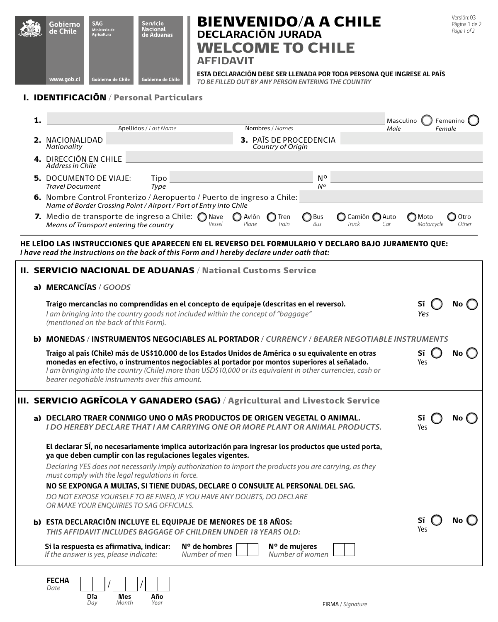

# BIENVENIDO/A A CHILE **DECLARACIÓN JURADA** WELCOME TO CHILE

Versión: 03 Página 1 de 2 *Page 1 of 2*

**AFFIDAVIT**

**ESTA DECLARACIÓN DEBE SER LLENADA POR TODA PERSONA QUE INGRESE AL PAÍS**

*TO BE FILLED OUT BY ANY PERSON ENTERING THE COUNTRY* 

# I. IDENTIFICACIÓN / Personal Particulars

|                                                                                                                                                                                                   | 1.                                                                                                  |                                                                                                                                                                                                                                                                                                                                                                         |                         |                   |                               |                                 | Masculino            | Femenino      |  |  |
|---------------------------------------------------------------------------------------------------------------------------------------------------------------------------------------------------|-----------------------------------------------------------------------------------------------------|-------------------------------------------------------------------------------------------------------------------------------------------------------------------------------------------------------------------------------------------------------------------------------------------------------------------------------------------------------------------------|-------------------------|-------------------|-------------------------------|---------------------------------|----------------------|---------------|--|--|
|                                                                                                                                                                                                   |                                                                                                     | Apellidos / Last Name                                                                                                                                                                                                                                                                                                                                                   |                         | Nombres / Names   |                               | Male                            |                      | Female        |  |  |
|                                                                                                                                                                                                   |                                                                                                     | 2. NACIONALIDAD<br>Nationality                                                                                                                                                                                                                                                                                                                                          |                         | Country of Origin | <b>3.</b> PAÍS DE PROCEDENCIA |                                 |                      |               |  |  |
|                                                                                                                                                                                                   |                                                                                                     | <b>4. DIRECCIÓN EN CHILE</b><br>Address in Chile                                                                                                                                                                                                                                                                                                                        |                         |                   |                               |                                 |                      |               |  |  |
|                                                                                                                                                                                                   |                                                                                                     | <b>5.</b> DOCUMENTO DE VIAJE:<br>Tipo<br><b>Travel Document</b><br>Type                                                                                                                                                                                                                                                                                                 |                         |                   | No<br>$N^o$                   |                                 |                      |               |  |  |
|                                                                                                                                                                                                   |                                                                                                     | 6. Nombre Control Fronterizo / Aeropuerto / Puerto de ingreso a Chile:<br>Name of Border Crossing Point / Airport / Port of Entry into Chile                                                                                                                                                                                                                            |                         |                   |                               |                                 |                      |               |  |  |
|                                                                                                                                                                                                   |                                                                                                     | 7. Medio de transporte de ingreso a Chile: $\bigcirc$ Nave<br>Means of Transport entering the country<br>Vessel                                                                                                                                                                                                                                                         | <b>O</b> Avión<br>Plane | ◯ Tren<br>Train   | ◯ Bus<br>Bus                  | ◯ Camión ◯ Auto<br>Truck<br>Car | ◯ Moto<br>Motorcycle | Otro<br>Other |  |  |
| HE LEĪDO LAS INSTRUCCIONES QUE APARECEN EN EL REVERSO DEL FORMULARIO Y DECLARO BAJO JURAMENTO QUE:<br>I have read the instructions on the back of this Form and I hereby declare under oath that: |                                                                                                     |                                                                                                                                                                                                                                                                                                                                                                         |                         |                   |                               |                                 |                      |               |  |  |
|                                                                                                                                                                                                   |                                                                                                     | <b>II. SERVICIO NACIONAL DE ADUANAS / National Customs Service</b>                                                                                                                                                                                                                                                                                                      |                         |                   |                               |                                 |                      |               |  |  |
|                                                                                                                                                                                                   |                                                                                                     | a) MERCANCIAS / GOODS                                                                                                                                                                                                                                                                                                                                                   |                         |                   |                               |                                 |                      |               |  |  |
|                                                                                                                                                                                                   |                                                                                                     | Traigo mercancías no comprendidas en el concepto de equipaje (descritas en el reverso).<br>I am bringing into the country goods not included within the concept of "baggage"<br>(mentioned on the back of this Form).                                                                                                                                                   |                         |                   |                               |                                 |                      | No.           |  |  |
|                                                                                                                                                                                                   | <b>b) MONEDAS / INSTRUMENTOS NEGOCIABLES AL PORTADOR / CURRENCY / BEARER NEGOTIABLE INSTRUMENTS</b> |                                                                                                                                                                                                                                                                                                                                                                         |                         |                   |                               |                                 |                      |               |  |  |
|                                                                                                                                                                                                   |                                                                                                     | Traigo al país (Chile) más de US\$10.000 de los Estados Unidos de América o su equivalente en otras<br>monedas en efectivo, o instrumentos negociables al portador por montos superiores al señalado.<br>I am bringing into the country (Chile) more than USD\$10,000 or its equivalent in other currencies, cash or<br>bearer negotiable instruments over this amount. |                         |                   |                               |                                 | Sí<br>Yes            | No.           |  |  |
|                                                                                                                                                                                                   |                                                                                                     | III. SERVICIO AGRÍCOLA Y GANADERO (SAG) / Agricultural and Livestock Service                                                                                                                                                                                                                                                                                            |                         |                   |                               |                                 |                      |               |  |  |
|                                                                                                                                                                                                   |                                                                                                     | a) DECLARO TRAER CONMIGO UNO O MÃS PRODUCTOS DE ORIGEN VEGETAL O ANIMAL.<br><b>I DO HEREBY DECLARE THAT I AM CARRYING ONE OR MORE PLANT OR ANIMAL PRODUCTS.</b>                                                                                                                                                                                                         |                         |                   |                               |                                 | Sĩ<br>Yes            | No            |  |  |
|                                                                                                                                                                                                   |                                                                                                     | El declarar SI, no necesariamente implica autorización para ingresar los productos que usted porta,<br>ya que deben cumplir con las regulaciones legales vigentes.<br>Declaring YES does not necessarily imply authorization to import the products you are carrying, as they                                                                                           |                         |                   |                               |                                 |                      |               |  |  |
|                                                                                                                                                                                                   |                                                                                                     | must comply with the legal regulations in force.                                                                                                                                                                                                                                                                                                                        |                         |                   |                               |                                 |                      |               |  |  |
|                                                                                                                                                                                                   |                                                                                                     | NO SE EXPONGA A MULTAS, SI TIENE DUDAS, DECLARE O CONSULTE AL PERSONAL DEL SAG.<br>DO NOT EXPOSE YOURSELF TO BE FINED, IF YOU HAVE ANY DOUBTS, DO DECLARE<br>OR MAKE YOUR ENQUIRIES TO SAG OFFICIALS.                                                                                                                                                                   |                         |                   |                               |                                 |                      |               |  |  |
|                                                                                                                                                                                                   |                                                                                                     | b) ESTA DECLARACIÓN INCLUYE EL EQUIPAJE DE MENORES DE 18 AÑOS:<br>THIS AFFIDAVIT INCLUDES BAGGAGE OF CHILDREN UNDER 18 YEARS OLD:                                                                                                                                                                                                                                       |                         |                   |                               |                                 |                      | No            |  |  |
|                                                                                                                                                                                                   |                                                                                                     | Si la respuesta es afirmativa, indicar:<br>$N^{\circ}$ de hombres<br>If the answer is yes, please indicate:<br>Number of men                                                                                                                                                                                                                                            |                         | N° de mujeres     | Number of women               |                                 |                      |               |  |  |

| FECHA<br>Date |            |              |             |
|---------------|------------|--------------|-------------|
|               | Día<br>Dav | Mes<br>Month | Año<br>Year |